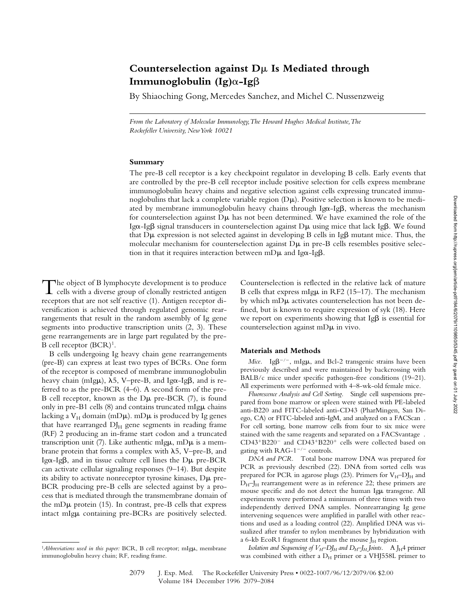# **Counterselection against D**m **Is Mediated through Immunoglobulin (Ig)**a**-Ig**b

By Shiaoching Gong, Mercedes Sanchez, and Michel C. Nussenzweig

*From the Laboratory of Molecular Immunology, The Howard Hughes Medical Institute, The Rockefeller University, New York 10021*

#### **Summary**

The pre-B cell receptor is a key checkpoint regulator in developing B cells. Early events that are controlled by the pre-B cell receptor include positive selection for cells express membrane immunoglobulin heavy chains and negative selection against cells expressing truncated immunoglobulins that lack a complete variable region  $(D\mu)$ . Positive selection is known to be mediated by membrane immunoglobulin heavy chains through  $Ig\alpha-Ig\beta$ , whereas the mechanism for counterselection against  $D\mu$  has not been determined. We have examined the role of the Ig $\alpha$ -Ig $\beta$  signal transducers in counterselection against D $\mu$  using mice that lack Ig $\beta$ . We found that  $D\mu$  expression is not selected against in developing B cells in Ig $\beta$  mutant mice. Thus, the molecular mechanism for counterselection against  $D\mu$  in pre-B cells resembles positive selection in that it requires interaction between mD $\mu$  and Ig $\alpha$ -Ig $\beta$ .

The object of B lymphocyte development is to produce  $\perp$  cells with a diverse group of clonally restricted antigen receptors that are not self reactive (1). Antigen receptor diversification is achieved through regulated genomic rearrangements that result in the random assembly of Ig gene segments into productive transcription units (2, 3). These gene rearrangements are in large part regulated by the pre-B cell receptor  $(BCR)^1$ .

B cells undergoing Ig heavy chain gene rearrangements (pre-B) can express at least two types of BCRs. One form of the receptor is composed of membrane immunoglobulin heavy chain (mIg $\mu$ ),  $\lambda$ 5, V–pre-B, and Ig $\alpha$ -Ig $\beta$ , and is referred to as the pre-BCR (4–6). A second form of the pre-B cell receptor, known as the  $D\mu$  pre-BCR (7), is found only in pre-B1 cells  $(8)$  and contains truncated mIg $\mu$  chains lacking a  $V_H$  domain (mD $\mu$ ). mD $\mu$  is produced by Ig genes that have rearranged  $DJ<sub>H</sub>$  gene segments in reading frame (RF) 2 producing an in-frame start codon and a truncated transcription unit (7). Like authentic mIg $\mu$ , mD $\mu$  is a membrane protein that forms a complex with  $\lambda$ 5, V–pre-B, and Ig $\alpha$ -Ig $\beta$ , and in tissue culture cell lines the D $\mu$  pre-BCR can activate cellular signaling responses (9–14). But despite its ability to activate nonreceptor tyrosine kinases,  $D\mu$  pre-BCR producing pre-B cells are selected against by a process that is mediated through the transmembrane domain of the mD $\mu$  protein (15). In contrast, pre-B cells that express intact mIgµ containing pre-BCRs are positively selected.

Counterselection is reflected in the relative lack of mature B cells that express mIg $\mu$  in RF2 (15–17). The mechanism by which mD $\mu$  activates counterselection has not been defined, but is known to require expression of syk (18). Here we report on experiments showing that Ig $\beta$  is essential for counterselection against  $mD\mu$  in vivo.

## **Materials and Methods**

*Mice.* Ig $\beta^{-/-}$ , mIg $\mu$ , and Bcl-2 transgenic strains have been previously described and were maintained by backcrossing with BALB/c mice under specific pathogen-free conditions (19–21). All experiments were performed with 4–8-wk-old female mice.

*Fluorescence Analysis and Cell Sorting.* Single cell suspensions prepared from bone marrow or spleen were stained with PE-labeled anti-B220 and FITC-labeled anti-CD43 (PharMingen, San Diego, CA) or FITC-labeled anti-IgM, and analyzed on a FACScan®. For cell sorting, bone marrow cells from four to six mice were stained with the same reagents and separated on a FACSvantage<sup>®</sup>.  $CD43^{+}B220^{-}$  and  $CD43^{+}B220^{+}$  cells were collected based on gating with  $RAG-1^{-/-}$  controls.

*DNA and PCR.* Total bone marrow DNA was prepared for PCR as previously described (22). DNA from sorted cells was prepared for PCR in agarose plugs (23). Primers for  $V_H$ -DJ<sub>H</sub> and  $D_H$ –J<sub>H</sub> rearrangement were as in reference 22; these primers are mouse specific and do not detect the human Igµ transgene. All experiments were performed a minimum of three times with two independently derived DNA samples. Nonrearranging Ig gene intervening sequences were amplified in parallel with other reactions and used as a loading control (22). Amplified DNA was visualized after transfer to nylon membranes by hybridization with a 6-kb EcoR1 fragment that spans the mouse  $J_H$  region.

*Isolation and Sequencing of*  $V_H$ *–DJ<sub>H</sub> and D<sub>H</sub>–J<sub>H</sub> Joints.* A J<sub>H</sub>4 primer was combined with either a  $D_H$  primer or a VHJ558L primer to

<sup>&</sup>lt;sup>1</sup>Abbreviations used in this paper: BCR, B cell receptor; mIgµ, membrane immunoglobulin heavy chain; RF, reading frame.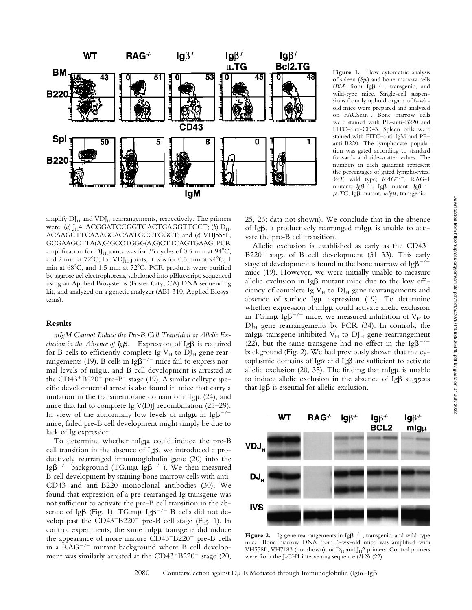

Figure 1. Flow cytometric analysis of spleen (*Spl*) and bone marrow cells ( $BM$ ) from Ig $\beta^{-/-}$ , transgenic, and wild-type mice. Single-cell suspensions from lymphoid organs of 6-wkold mice were prepared and analyzed on FACScan®. Bone marrow cells were stained with PE–anti-B220 and FITC–anti-CD43. Spleen cells were stained with FITC–anti-IgM and PE– anti-B220. The lymphocyte population was gated according to standard forward- and side-scatter values. The numbers in each quadrant represent the percentages of gated lymphocytes. *WT*, wild type;  $RAG^{-/-}$ , RAG-1 mutant; *Ig* $\beta^{-/-}$ , Ig $\beta$  mutant; *Ig* $\beta^{-/-}$  $\mu$ . TG, Ig $\beta$  mutant,  $mIg\mu$ , transgenic.

amplify  $DJ_H$  and  $VDJ_H$  rearrangements, respectively. The primers were: (*a*) J<sub>H</sub>4, ACGGATCCGGTGACTGAGGTTCCT; (*b*) D<sub>H</sub>, ACAAGCTTCAAAGCACAATGCCTGGCT; and (*c*) VHJ558L, GCGAAGCTTA(A,G)GCCTGGG(A,G)CTTCAGTGAAG. PCR amplification for  $DI_H$  joints was for 35 cycles of 0.5 min at 94 $\rm{°C}$ , and 2 min at  $72^{\circ}$ C; for VDJ<sub>H</sub> joints, it was for 0.5 min at  $94^{\circ}$ C, 1 min at 68°C, and 1.5 min at 72°C. PCR products were purified by agarose gel electrophoresis, subcloned into pBluescript, sequenced using an Applied Biosystems (Foster City, CA) DNA sequencing kit, and analyzed on a genetic analyzer (ABI-310; Applied Biosystems).

## **Results**

*mIgM Cannot Induce the Pre-B Cell Transition or Allelic Exclusion in the Absence of Ig* $\beta$ *.* Expression of Ig $\beta$  is required for B cells to efficiently complete Ig  $V_H$  to  $DJ_H$  gene rearrangements (19). B cells in  $I_{\text{g}}\beta^{-/-}$  mice fail to express normal levels of mIgµ, and B cell development is arrested at the  $CD43+B220+$  pre-B1 stage (19). A similar celltype specific developmental arrest is also found in mice that carry a mutation in the transmembrane domain of mIg $\mu$  (24), and mice that fail to complete Ig V(D)J recombination (25–29). In view of the abnormally low levels of mIg $\mu$  in Ig $\beta^{-/-}$ mice, failed pre-B cell development might simply be due to lack of Ig expression.

To determine whether mIgµ could induce the pre-B cell transition in the absence of  $Ig\beta$ , we introduced a productively rearranged immunoglobulin gene (20) into the Ig $\beta^{-/-}$  background (TG.m $\mu$  Ig $\beta^{-/-}$ ). We then measured B cell development by staining bone marrow cells with anti-CD43 and anti-B220 monoclonal antibodies (30). We found that expression of a pre-rearranged Ig transgene was not sufficient to activate the pre-B cell transition in the absence of Ig $\beta$  (Fig. 1). TG.m $\mu$  Ig $\beta^{-/-}$  B cells did not develop past the  $CD43+B220+$  pre-B cell stage (Fig. 1). In control experiments, the same mIgµ transgene did induce the appearance of more mature  $CD43-B220^+$  pre-B cells in a  $RAG^{-/-}$  mutant background where B cell development was similarly arrested at the CD43<sup>+</sup>B220<sup>+</sup> stage (20, 25, 26; data not shown). We conclude that in the absence of Ig $\beta$ , a productively rearranged mIg $\mu$  is unable to activate the pre-B cell transition.

Allelic exclusion is established as early as the  $CD43<sup>+</sup>$  $B220<sup>+</sup>$  stage of B cell development (31–33). This early stage of development is found in the bone marrow of  $I g \beta^{-/-}$ mice (19). However, we were initially unable to measure allelic exclusion in Ig $\beta$  mutant mice due to the low efficiency of complete Ig  $V_H$  to  $DJ_H$  gene rearrangements and absence of surface Ig $\mu$  expression (19). To determine whether expression of mIgµ could activate allelic exclusion in TG.m $\mu$  Ig $\beta^{-/-}$  mice, we measured inhibition of V<sub>H</sub> to  $DJ<sub>H</sub>$  gene rearrangements by PCR (34). In controls, the mIg $\mu$  transgene inhibited  $V_H$  to  $DJ_H$  gene rearrangement (22), but the same transgene had no effect in the Ig $\beta^{-/-}$ background (Fig. 2). We had previously shown that the cytoplasmic domains of Ig $\alpha$  and Ig $\beta$  are sufficient to activate allelic exclusion  $(20, 35)$ . The finding that mIg $\mu$  is unable to induce allelic exclusion in the absence of  $Ig\beta$  suggests that  $I \beta$  is essential for allelic exclusion.



**Figure 2.** Ig gene rearrangements in  $Ig\beta^{-/-}$ , transgenic, and wild-type mice. Bone marrow DNA from 6-wk-old mice was amplified with VH558L, VH7183 (not shown), or  $D_H$  and J<sub>H</sub>2 primers. Control primers were from the J-CH1 intervening sequence (*IVS*) (22).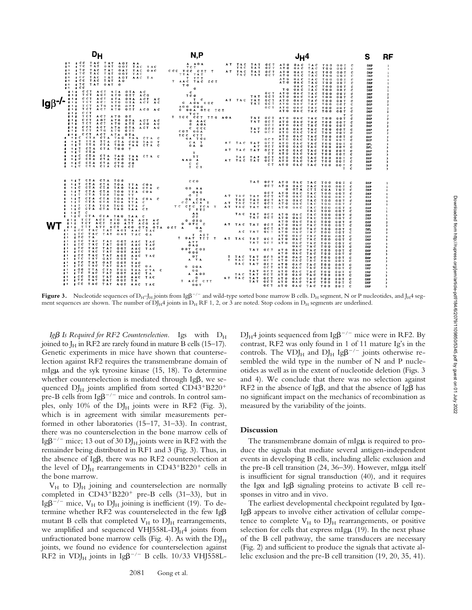|                                                                                                                                                                                                                        |                                                                                                                                                                                                                                                                                                                                              | N, P                                                                                                                                                 |                                                                                                                                                                                                                                                                                                                                                                                                                  | S<br>RF                                                                                                                                                                                                                                                                                        |  |
|------------------------------------------------------------------------------------------------------------------------------------------------------------------------------------------------------------------------|----------------------------------------------------------------------------------------------------------------------------------------------------------------------------------------------------------------------------------------------------------------------------------------------------------------------------------------------|------------------------------------------------------------------------------------------------------------------------------------------------------|------------------------------------------------------------------------------------------------------------------------------------------------------------------------------------------------------------------------------------------------------------------------------------------------------------------------------------------------------------------------------------------------------------------|------------------------------------------------------------------------------------------------------------------------------------------------------------------------------------------------------------------------------------------------------------------------------------------------|--|
| $\mathbf{r}$ , $\mathbf{c}$                                                                                                                                                                                            | ET ECC TAC TAT AGT AA<br>E ELL LAU LAT AUT AA<br>E ETC TAT GAT GGT TAC TAC TOT<br>ET ETC TAC TAT GAT TAC GAC<br>ES ETC TAC TAT GGT TAC<br>EL ECC TAC TAT AGT AAC TA<br>ER ECC TAC TAT AG<br>ET STO TAT GAT G                                                                                                                                 | A AGA<br>CCC TCC CTT T<br>TTA TAT<br>$T$ $TT$ $T$<br>$T = A A \tilde{C} - T \tilde{A} \tilde{C} - C C T$<br>T <sub>G</sub><br>G                      | AT TAC TAT GCT ATG GAC TAC TGG GGT C<br>TAC TAT GCT ATG GAC TAC TGG GGT C<br>AT TAC TAT GCT ATG GAC TAC TGG GGT<br><b>C</b><br>TAC TAT GCT ATG GAC TAC TGG GGT<br>c<br>ATG GAC TAC TGG GOT<br><b>C</b><br>ATG GAC TAC TOG GGT<br>$\mathbf{c}$<br>GAC TAC TGG GGT C                                                                                                                                               | <b>DSP</b><br><b>DSP</b><br>$\mathbf{1}$<br><b>DSP</b><br>$\overline{1}$<br><b>DSP</b><br>$\mathbf{1}$<br><b>DSP</b><br>$\mathbf{I}$<br>DSP<br>$\mathbf{1}$<br><b>DSP</b><br>$\mathbf{1}$                                                                                                      |  |
| E 1 E C C T A C T A T A G T A A C<br>SAS TOT ACT ATG GTT ACG<br>EIE CCT ACT ATA GTA ACT AC<br>lgβ <sup>-/-</sup><br>SIL TET ACT ATG GTA ACT AC<br>SIS TET ATG ATG GTT<br>SIS TOT ACT ATG GTT ACG AC<br>$E$ t $E$ c c T |                                                                                                                                                                                                                                                                                                                                              | $\mathbf{c}$<br>TCO<br>$T_{\rm c}$<br>G AGG GGC<br>AGG GGG<br>G GGA GTC TCT<br>тст                                                                   | TO GAC TAC TOO GOT<br>c<br>GCT ATO GAC TAC TGG GOT<br>$\mathbf{c}$<br>TAT GCT ATO GAC TAC TGG GGT<br>c<br>AT TAC TAT OCT ATG GAC TAC TOG GGT<br>c<br>TAT GCT ATG GAC TAC TGG GGT<br>с<br>GCT ATG GAC TAC TGG GGT<br>$\mathbf{c}$<br>ATG GAC TAC TGG GGT<br>c<br>$\mathbf{r}$<br>$\mathbf \tau$                                                                                                                   | <b>DSP</b><br>-1<br><b>DSP</b><br>$\overline{2}$<br><b>DSP</b><br>$\overline{\mathbf{2}}$<br><b>DSP</b><br>$\overline{2}$<br><b>DSP</b><br>$\overline{2}$<br><b>DSP</b><br>$\overline{2}$<br><b>DSP</b><br>$\overline{\mathbf{2}}$<br><b>DSP</b><br>$\mathcal{I}$                              |  |
| $\mathbf{r}$<br>$\mathbf{r}$                                                                                                                                                                                           | ELE TOT ACT ATG GT<br>EFF CCT AGT ATG GTA ACT AC<br>SIS TOT ACT ATG ATT ACG AC<br>E E E C C T A C T A TA G TA A C T A C<br>LIE TOT ATG ATG GTT<br>ELE CCT ACT ATA GTA<br>E LEC CTA CTA TAG TAA CTA C<br>IST TTA TTA CTA CGG TAG T<br>IST TTA CTA TGG TAA CTA C                                                                               | T TCC CCT TTO AGA<br>G AAC<br>G AGA<br>$c$ $c$ $c$ $c$<br>CGT GGA<br>TCC CTT<br>GA TGG<br>$\begin{array}{cccc}\nC & A & T \\ O & A & G\n\end{array}$ | TAT GCT ATG GAC TAC TGG GGT<br>c<br>TAT GCT ATG GAC TAC TGG GGT<br>c<br>OCT ATG GAC TAC TGG GGT<br>c<br>TAT OCT ATO OAC TAC TOO GOT<br>c<br>TAT GCT ATG GAC TAC TGG GGT<br>c<br>ATG GAC TAC TGG GGT<br>c<br>GCT ATG GAC TAC TGG GGT<br>c<br>AT TAC TAT GCT ATG GAC TAC TGG GGT C                                                                                                                                 | <b>DSP</b><br>$\overline{2}$<br><b>DSP</b><br>$\overline{2}$<br>DSP<br>$\overline{\mathbf{2}}$<br><b>DSP</b><br>$\overline{2}$<br>DSP<br>$\overline{2}$<br><b>DSP</b><br>$\overline{2}$<br><b>DSP</b><br>$\overline{\mathbf{3}}$<br>DFL<br>$\overline{\mathbf{3}}$                             |  |
| <b>ILT CTA</b><br>$\mathbf{r}$                                                                                                                                                                                         | E IET CTA CTA TOO T<br>ILC CTA CTA TAG TAA CTA C<br>E IEC CTA CTA TAG TAA<br><b>E ILC CTA CTA CTG CG</b><br>E IEC CTA CTA CTG CT                                                                                                                                                                                                             | T<br>AAG <sup>TT</sup><br>$\begin{array}{cc} & c & c \\ \hline r & c & \tau \end{array}$                                                             | AT GCT ATG GAC TAC TGG GGT C<br>AT TAC TAT GCT ATG GAC TAC TGG GGT C<br>CT ATO GAC TAC TOG GOT C<br>TAC TAT GCT ATO GAC TAC TOO GOT C<br>AT TAC TAT OCT ATG GAC TAC TGG GGT C<br>CT ATG GAC TAC TGG GGT C<br>$T \cdot C$                                                                                                                                                                                         | DFL<br>$\overline{\mathbf{3}}$<br><b>DSP</b><br>в<br><b>DSP</b><br>$\overline{\mathbf{3}}$<br><b>DSP</b><br>3<br><b>DSP</b><br>3<br><b>DSP</b><br>$\overline{\mathbf{3}}$<br><b>DSP</b><br>3                                                                                                   |  |
| $\mathbf{r}$                                                                                                                                                                                                           | <b>E ILI CTA CTA TGG</b><br>IST CTA CTA TGA TTA CGA<br>IEC CTA CTA TAG TAA CTA C<br>E IST CTA CTA TOO TTA COA<br>E IST CTA TGA TGG TT<br>E IET CTA CTA TOA TTA COA C<br>E IET CTA CTA TGA TTA C<br>ILT CTA TOA TOG TTA C<br>E IEC CTA CTA TAG TAA CT                                                                                         | e co<br><b>GG AA</b><br>GA G<br>$G$ T<br><b>GACGA</b><br>CC ACA T<br>те сте тел т<br>$T$ $TT$                                                        | TAT GCT ATG GAC TAC TGG GGT C<br>OCT ATO GAC TAC TOO GOT C<br>G GTA CTT CGA TGT<br>c<br>GCT ATO GAC TAC TOO GOT<br>c<br>AT TAC TAT GCT ATG GAC TAC TGG GGT C<br>TAC TAT GCT ATG GAC TAC TGG GGT<br>$\mathfrak{c}$<br>AT TAC TAT GCT ATG GAC TAC TGG GGT C<br>AT TAC TAT GCT ATG GAC TAC TGG GGT C<br>TAC TGG GGT C                                                                                               | <b>DSP</b><br>DSP<br>-1<br>DSP<br>$\mathbf{1}$<br><b>DSP</b><br>-1<br><b>DSP</b><br>-1<br><b>DSP</b><br>$\mathbf{1}$<br><b>DSP</b><br>-1<br><b>DSP</b>                                                                                                                                         |  |
| $\mathbf{r}$ is $\mathbf{r}$ in $\mathbf{r}$<br>EI ETC TA<br>$\mathbf{r}$                                                                                                                                              | E IEC CTA CTA TAG TAA C<br>EIF TOT ACT ATO GTA ACT AC<br>SAS TOT ACT TAG ATT ACG AC<br>EFE TIT ATT ACT ACG GTA GTA GCT A GA<br>SU ECC TAC TAT AGT AAC TAC<br>EL ETC TAC TAT GAT TAC GA<br>ET ETC TAC TAT GGT AAC TAC<br>STC TAC TAT GOT AAC TAC                                                                                              | AA<br>c c<br>$G$ $G$ $G$ $G$<br>0.0000<br>$\mathbf{G}$<br>T AGT<br>T GAT TIT T<br><b>ATT</b><br><b>CAC</b>                                           | TAC TAT OCT ATO GAC TAC TOO GOT C<br>TAT GCT ATG GAC TAC TGG GGT<br>c<br>ATO OAC TAC TOO GOT<br>c<br>AT TAC TAT OCT ATG GAC TAC TGG GGT<br>c<br><b>GCT ATG</b><br>GAC TAC TGG GGT<br>c<br>AC TAT GCT ATG GAC TAC TGG GGT<br>AT G<br>GAC TAC TGG GGT C<br>AT TAC TAT OCT ATO GAC TAC TOO GOT C<br>TAT OCT ATG GAC TAC TGG GGT C<br>GAC TAC TGG GGT<br>c                                                           | <b>DSP</b><br>-1<br>DSP<br>$\mathbf{1}$<br>DSP<br>-1<br><b>DSP</b><br>$\overline{\phantom{a}}$<br>DSP<br>$\mathbf{2}$<br><b>DFL</b><br>$\mathbf{r}$<br><b>DSP</b><br>3<br><b>DSP</b><br>$\overline{\mathbf{3}}$<br><b>DSP</b><br>$\overline{\mathbf{3}}$<br><b>DSP</b><br>3<br><b>DSP</b><br>3 |  |
| $\mathbf{r}$<br>書本<br>$\mathbf{r}$<br>z.                                                                                                                                                                               | FTC TAC TAT GGT AAC TAC<br>ETC TAC TAT GGT AAC<br>FCC TAC TAT AGT AAC TAC<br>STC TAT GAT GGT TA<br>FIRE TAT CAT GAT TAC<br>EL ETC TAC TAT GAT TAC GA GOGA<br>EL ETC TAC TAT GOT TAA CTA CO GOGA<br>EL ETC TAC TAT AGT AAC TAC A AGO<br>EL ETC TAT AGT AAC TAC TACC CTT<br>EL ECC TAC TAT AGT AAC TAC OGT .<br>EL ECC TAC TAT AGT AAC TAC GOT | cot coo<br>$\mathbf{0}$ and<br>$-0T$<br>A TA                                                                                                         | TAT GCT ATG GAC TAC TGG GGT<br>c<br>ATG GAC TAC TGG GGT<br>c<br>T TAC TAT OCT ATG GAC TAC TGG GGT<br>c<br>I TAC TAT GCT ATG GAC TAC TGG GGT<br>c<br>TAC TAT OCT ATG GAC TAC TGG GGT<br>$\mathbf{c}$<br>GCT ATG GAC TAC TGG GGT C<br>TAT GCT ATG GAC TAC TGG GGT C<br>TAC TAT GCT ATG GAC TAC TGG GGT<br>AT TAC TAT GCT ATG GAC TAC TGG GGT<br>с<br>TAT GCT ATG GAC TAC TGG GGT<br>c<br>GCT ATG GAC TAC TGG GGT C | <b>DSP</b><br>$\mathbf{a}$<br><b>DSP</b><br>-3<br><b>DSP</b><br>$\ddot{\mathbf{a}}$<br><b>DSP</b><br>3<br>DSP<br>3<br><b>DSP</b><br>3<br><b>DSP</b><br><b>DSP</b><br>-3<br><b>DSP</b><br>$\ddot{\phantom{1}}$<br><b>DSP</b><br>3<br><b>DSP</b><br>$\overline{\mathbf{3}}$                      |  |

**Figure 3.** Nucleotide sequences of  $D_H$ –J<sub>H</sub> joints from Ig $\beta^{-/-}$  and wild-type sorted bone marrow B cells.  $D_H$  segment, N or P nucleotides, and J<sub>H</sub>4 segment sequences are shown. The number of  $DI_H4$  joints in  $D_H$  RF 1, 2, or 3 are noted. Stop codons in  $D_H$  segments are underlined.

*Ig* $\beta$  *Is Required for RF2 Counterselection.* Igs with  $D_H$ joined to  $J_H$  in RF2 are rarely found in mature B cells (15–17). Genetic experiments in mice have shown that counterselection against RF2 requires the transmembrane domain of mIg $\mu$  and the syk tyrosine kinase (15, 18). To determine whether counterselection is mediated through Ig $\beta$ , we sequenced  $DJ_H$  joints amplified from sorted  $CD43+B220+$ pre-B cells from Ig $\beta^{-/-}$  mice and controls. In control samples, only 10% of the  $DI<sub>H</sub>$  joints were in RF2 (Fig. 3), which is in agreement with similar measurements performed in other laboratories (15–17, 31–33). In contrast, there was no counterselection in the bone marrow cells of Ig $\beta^{-/-}$  mice; 13 out of 30 DJ<sub>H</sub> joints were in RF2 with the remainder being distributed in RF1 and 3 (Fig. 3). Thus, in the absence of  $Ig\beta$ , there was no RF2 counterselection at the level of  $DJ_H$  rearrangements in  $CD43+220+$  cells in the bone marrow.

 $V_H$  to  $D_{H}$  joining and counterselection are normally completed in  $CD43+B220+$  pre-B cells (31-33), but in Ig $\beta^{-/-}$  mice,  $V_H$  to  $D_H$  joining is inefficient (19). To determine whether RF2 was counterselected in the few Igb mutant B cells that completed  $V_H$  to  $DJ_H$  rearrangements, we amplified and sequenced VHJ558L-DJ $_H$ 4 joints from unfractionated bone marrow cells (Fig. 4). As with the  $DI_H$ joints, we found no evidence for counterselection against RF2 in VDJ<sub>H</sub> joints in Ig $\beta^{-/-}$  B cells. 10/33 VHJ558L-

 $D_{\text{H}}$ 4 joints sequenced from Ig $\beta$ <sup>-/-</sup> mice were in RF2. By contrast, RF2 was only found in 1 of 11 mature Ig's in the controls. The VDJ<sub>H</sub> and DJ<sub>H</sub> Ig $\beta$ <sup>-/-</sup> joints otherwise resembled the wild type in the number of N and P nucleotides as well as in the extent of nucleotide deletion (Figs. 3 and 4). We conclude that there was no selection against RF2 in the absence of Ig $\beta$ , and that the absence of Ig $\beta$  has no significant impact on the mechanics of recombination as measured by the variability of the joints.

### **Discussion**

The transmembrane domain of mIg $\mu$  is required to produce the signals that mediate several antigen-independent events in developing B cells, including allelic exclusion and the pre-B cell transition  $(24, 36-39)$ . However, mIg $\mu$  itself is insufficient for signal transduction (40), and it requires the Ig $\alpha$  and Ig $\beta$  signaling proteins to activate B cell responses in vitro and in vivo.

The earliest developmental checkpoint regulated by Ig $\alpha$ - $Ig\beta$  appears to involve either activation of cellular competence to complete  $V_H$  to  $DJ_H$  rearrangements, or positive selection for cells that express mIg $\mu$  (19). In the next phase of the B cell pathway, the same transducers are necessary (Fig. 2) and sufficient to produce the signals that activate allelic exclusion and the pre-B cell transition (19, 20, 35, 41).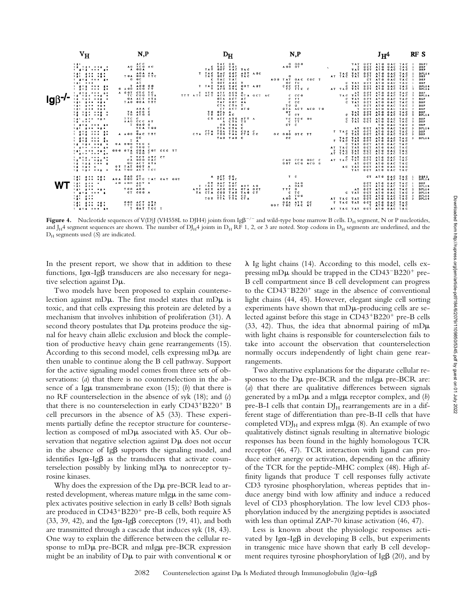

**Figure 4.** Nucleotide sequences of V(D)J (VH558L to DJH4) joints from Ig $\beta^{-/-}$  and wild-type bone marrow B cells.  $D_H$  segment, N or P nucleotides, and J<sub>H</sub>4 segment sequences are shown. The number of DJ<sub>H</sub>4 joints in D<sub>H</sub> RF 1, 2, or 3 are noted. Stop codons in D<sub>H</sub> segments are underlined, and the  $D_H$  segments used  $(S)$  are indicated.

In the present report, we show that in addition to these functions, Ig $\alpha$ -Ig $\beta$  transducers are also necessary for negative selection against Dm.

Two models have been proposed to explain counterselection against mD $\mu$ . The first model states that mD $\mu$  is toxic, and that cells expressing this protein are deleted by a mechanism that involves inhibition of proliferation (31). A second theory postulates that  $D\mu$  proteins produce the signal for heavy chain allelic exclusion and block the completion of productive heavy chain gene rearrangements (15). According to this second model, cells expressing  $mD\mu$  are then unable to continue along the B cell pathway. Support for the active signaling model comes from three sets of observations: (*a*) that there is no counterselection in the absence of a Ig $\mu$  transmembrane exon (15); (*b*) that there is no RF counterselection in the absence of syk (18); and (*c*) that there is no counterselection in early  $CD43+B220+B$ cell precursors in the absence of  $\lambda$ 5 (33). These experiments partially define the receptor structure for counterselection as composed of mD $\mu$  associated with  $\lambda$ 5. Our observation that negative selection against  $D\mu$  does not occur in the absence of  $I_{\mathcal{B}}$  supports the signaling model, and identifies Ig $\alpha$ -Ig $\beta$  as the transducers that activate counterselection possibly by linking  $mD\mu$  to nonreceptor tyrosine kinases.

Why does the expression of the  $D\mu$  pre-BCR lead to arrested development, whereas mature mIgµ in the same complex activates positive selection in early B cells? Both signals are produced in CD43<sup>+</sup>B220<sup>+</sup> pre-B cells, both require  $\lambda$ 5 (33, 39, 42), and the Ig $\alpha$ -Ig $\beta$  coreceptors (19, 41), and both are transmitted through a cascade that induces syk (18, 43). One way to explain the difference between the cellular response to  $mD\mu$  pre-BCR and  $mIg\mu$  pre-BCR expression might be an inability of  $D\mu$  to pair with conventional  $\kappa$  or  $\lambda$  Ig light chains (14). According to this model, cells expressing mD $\mu$  should be trapped in the CD43<sup>-B220+</sup> pre-B cell compartment since B cell development can progress to the  $CD43-B220<sup>+</sup>$  stage in the absence of conventional light chains (44, 45). However, elegant single cell sorting experiments have shown that  $mD\mu$ -producing cells are selected against before this stage in CD43+B220+ pre-B cells (33, 42). Thus, the idea that abnormal pairing of mD $\mu$ with light chains is responsible for counterselection fails to take into account the observation that counterselection normally occurs independently of light chain gene rearrangements.

Two alternative explanations for the disparate cellular responses to the  $D\mu$  pre-BCR and the mIg $\mu$  pre-BCR are: (*a*) that there are qualitative differences between signals generated by a mD $\mu$  and a mIg $\mu$  receptor complex, and (*b*) pre-B-I cells that contain  $DJ<sub>H</sub>$  rearrangements are in a different stage of differentiation than pre-B-II cells that have completed  $VDJ<sub>H</sub>$  and express mIg $\mu$  (8). An example of two qualitatively distinct signals resulting in alternative biologic responses has been found in the highly homologous TCR receptor (46, 47). TCR interaction with ligand can produce either anergy or activation, depending on the affinity of the TCR for the peptide-MHC complex (48). High affinity ligands that produce T cell responses fully activate CD3 tyrosine phosphorylation, whereas peptides that induce anergy bind with low affinity and induce a reduced level of CD3 phosphorylation. The low level CD3 phosphorylation induced by the anergizing peptides is associated with less than optimal ZAP-70 kinase activation (46, 47).

Less is known about the physiologic responses activated by Ig $\alpha$ -Ig $\beta$  in developing B cells, but experiments in transgenic mice have shown that early B cell development requires tyrosine phosphorylation of Ig $\beta$  (20), and by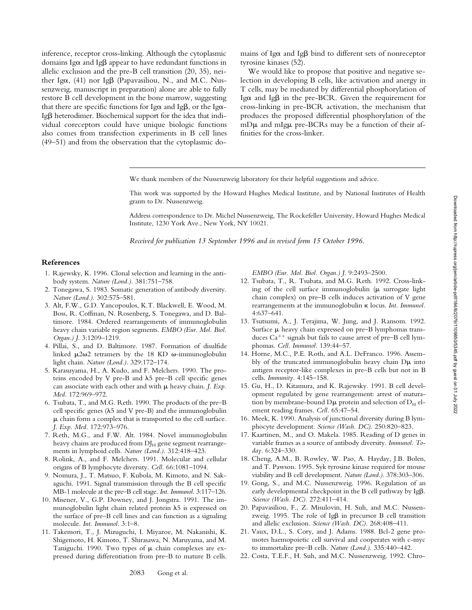inference, receptor cross-linking. Although the cytoplasmic domains Ig $\alpha$  and Ig $\beta$  appear to have redundant functions in allelic exclusion and the pre-B cell transition (20, 35), neither Ig $\alpha$ , (41) nor Ig $\beta$  (Papavasiliou, N., and M.C. Nussenzweig, manuscript in preparation) alone are able to fully restore B cell development in the bone marrow, suggesting that there are specific functions for Ig $\alpha$  and Ig $\beta$ , or the Ig $\alpha$ -Igb heterodimer. Biochemical support for the idea that individual coreceptors could have unique biologic functions also comes from transfection experiments in B cell lines (49–51) and from the observation that the cytoplasmic domains of Ig $\alpha$  and Ig $\beta$  bind to different sets of nonreceptor tyrosine kinases (52).

We would like to propose that positive and negative selection in developing B cells, like activation and anergy in T cells, may be mediated by differential phosphorylation of Ig $\alpha$  and Ig $\beta$  in the pre-BCR. Given the requirement for cross-linking in pre-BCR activation, the mechanism that produces the proposed differential phosphorylation of the  $mD\mu$  and mIg $\mu$  pre-BCRs may be a function of their affinities for the cross-linker.

We thank members of the Nussenzweig laboratory for their helpful suggestions and advice.

This work was supported by the Howard Hughes Medical Institute, and by National Institutes of Health grants to Dr. Nussenzweig.

Address correspondence to Dr. Michel Nussenzweig, The Rockefeller University, Howard Hughes Medical Institute, 1230 York Ave., New York, NY 10021.

*Received for publication 13 September 1996 and in revised form 15 October 1996.*

#### **References**

- 1. Rajewsky, K. 1996. Clonal selection and learning in the antibody system. *Nature (Lond.).* 381:751–758.
- 2. Tonegawa, S. 1983. Somatic generation of antibody diversity. *Nature (Lond.).* 302:575–581.
- 3. Alt, F.W., G.D. Yancopoulos, K.T. Blackwell, E. Wood, M. Boss, R. Coffman, N. Rosenberg, S. Tonegawa, and D. Baltimore. 1984. Ordered rearrangements of immunoglobulin heavy chain variable region segments. *EMBO (Eur. Mol. Biol. Organ.) J.* 3:1209–1219.
- 4. Pillai, S., and D. Baltimore. 1987. Formation of disulfide linked  $\mu$ 2 $\omega$ 2 tetramers by the 18 KD  $\omega$ -immunoglobulin light chain. *Nature (Lond.).* 329:172–174.
- 5. Karasuyama, H., A. Kudo, and F. Melchers. 1990. The proteins encoded by V pre-B and  $\lambda$ 5 pre-B cell specific genes can associate with each other and with  $\mu$  heavy chain. *J. Exp. Med.* 172:969–972.
- 6. Tsubata, T., and M.G. Reth. 1990. The products of the pre–B cell specific genes ( $\lambda$ 5 and V pre-B) and the immunoglobulin  $\mu$  chain form a complex that is transported to the cell surface. *J. Exp. Med.* 172:973–976.
- 7. Reth, M.G., and F.W. Alt. 1984. Novel immunoglobulin heavy chains are produced from  $DJ_H$  gene segment rearrangements in lymphoid cells. *Nature (Lond.).* 312:418–423.
- 8. Rolink, A., and F. Melchers. 1991. Molecular and cellular origins of B lymphocyte diversity. *Cell.* 66:1081–1094.
- 9. Nomura, J., T. Matsuo, F. Kubola, M. Kimoto, and N. Sakaguchi. 1991. Signal transmission through the B cell specific MB-1 molecule at the pre–B cell stage. *Int. Immunol.* 3:117–126.
- 10. Misener, V., G.P. Downey, and J. Jongstra. 1991. The immunoglobulin light chain related protein  $\lambda$ 5 is expressed on the surface of pre–B cell lines and can function as a signaling molecule. *Int. Immunol.* 3:1–8.
- 11. Takemori, T., J. Mizuguchi, I. Miyazoe, M. Nakanishi, K. Shigemoto, H. Kimoto, T. Shirasawa, N. Maruyama, and M. Taniguchi. 1990. Two types of  $\mu$  chain complexes are expressed during differentiation from pre–B to mature B cells.

*EMBO (Eur. Mol. Biol. Organ.) J.* 9:2493–2500.

- 12. Tsubata, T., R. Tsubata, and M.G. Reth. 1992. Cross-linking of the cell surface immunoglobulin  $(\mu$  surrogate light chain complex) on pre–B cells induces activation of V gene rearrangements at the immunoglobulin k locus. *Int. Immunol.* 4:637–641.
- 13. Tsutsumi, A., J. Terajima, W. Jung, and J. Ransom. 1992. Surface  $\mu$  heavy chain expressed on pre–B lymphomas transduces  $Ca^{++}$  signals but fails to cause arrest of pre–B cell lymphomas. *Cell. Immunol.* 139:44–57.
- 14. Horne, M.C., P.E. Roth, and A.L. DeFranco. 1996. Assembly of the truncated immunoglobulin heavy chain  $D\mu$  into antigen receptor-like complexes in pre–B cells but not in B cells. *Immunity.* 4:145–158.
- 15. Gu, H., D. Kitamura, and K. Rajewsky. 1991. B cell development regulated by gene rearrangement: arrest of maturation by membrane-bound  $D\mu$  protein and selection of  $D<sub>H</sub>$  element reading frames. *Cell.* 65:47–54.
- 16. Meek, K. 1990. Analysis of junctional diversity during B lymphocyte development. *Science (Wash. DC).* 250:820–823.
- 17. Kaartinen, M., and O. Makela. 1985. Reading of D genes in variable frames as a source of antibody diversity. *Immunol. Today.* 6:324–330.
- 18. Cheng, A.M., B. Rowley, W. Pao, A. Hayday, J.B. Bolen, and T. Pawson. 1995. Syk tyrosine kinase required for mouse viability and B cell development. *Nature (Lond.).* 378:303–306.
- 19. Gong, S., and M.C. Nussenzweig. 1996. Regulation of an early developmental checkpoint in the B cell pathway by  $Ig\beta$ . *Science (Wash. DC).* 272:411–414.
- 20. Papavasiliou, F., Z. Misulovin, H. Suh, and M.C. Nussenzweig. 1995. The role of Ig $\beta$  in precursor B cell transition and allelic exclusion. *Science (Wash. DC).* 268:408–411.
- 21. Vaux, D.L., S. Cory, and J. Adams. 1988. Bcl-2 gene promotes haemopoietic cell survival and cooperates with c-myc to immortalize pre–B cells. *Nature (Lond.).* 335:440–442.
- 22. Costa, T.E.F., H. Suh, and M.C. Nussenzweig. 1992. Chro-